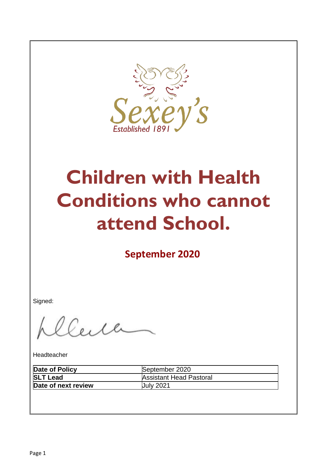

# **Children with Health Conditions who cannot attend School.**

**September 2020**

Signed:

Elle

Headteacher

| Date of Policy      | September 2020                 |
|---------------------|--------------------------------|
| <b>SLT Lead</b>     | <b>Assistant Head Pastoral</b> |
| Date of next review | <b>July 2021</b>               |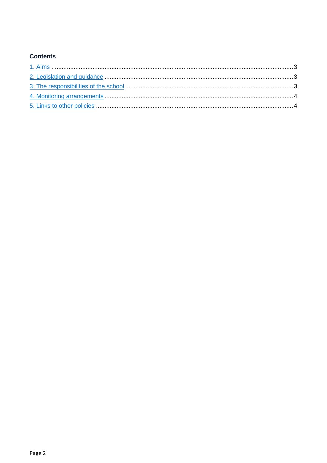## **Contents**

<span id="page-1-0"></span>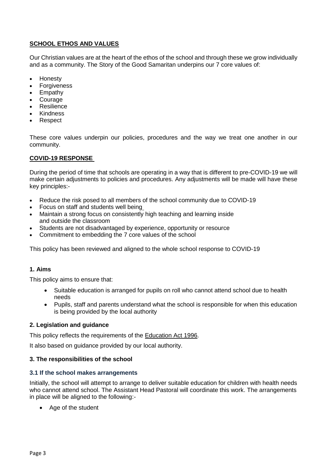## **SCHOOL ETHOS AND VALUES**

Our Christian values are at the heart of the ethos of the school and through these we grow individually and as a community. The Story of the Good Samaritan underpins our 7 core values of:

- Honesty
- Forgiveness
- Empathy
- Courage
- Resilience
- Kindness
- Respect

These core values underpin our policies, procedures and the way we treat one another in our community.

### **COVID-19 RESPONSE**

During the period of time that schools are operating in a way that is different to pre-COVID-19 we will make certain adjustments to policies and procedures. Any adjustments will be made will have these key principles:-

- Reduce the risk posed to all members of the school community due to COVID-19
- Focus on staff and students well being
- Maintain a strong focus on consistently high teaching and learning inside and outside the classroom
- Students are not disadvantaged by experience, opportunity or resource
- Commitment to embedding the 7 core values of the school

This policy has been reviewed and aligned to the whole school response to COVID-19

#### **1. Aims**

This policy aims to ensure that:

- Suitable education is arranged for pupils on roll who cannot attend school due to health needs
- Pupils, staff and parents understand what the school is responsible for when this education is being provided by the local authority

#### <span id="page-2-0"></span>**2. Legislation and guidance**

This policy reflects the requirements of the [Education Act 1996.](http://www.legislation.gov.uk/ukpga/1996/56/section/19)

It also based on guidance provided by our local authority.

#### <span id="page-2-1"></span>**3. The responsibilities of the school**

#### **3.1 If the school makes arrangements**

Initially, the school will attempt to arrange to deliver suitable education for children with health needs who cannot attend school. The Assistant Head Pastoral will coordinate this work. The arrangements in place will be aligned to the following:-

• Age of the student